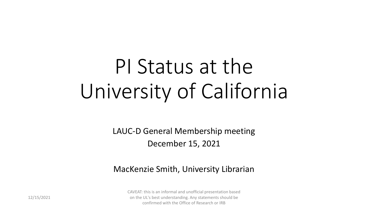# PI Status at the University of California

LAUC-D General Membership meeting December 15, 2021

#### MacKenzie Smith, University Librarian

CAVEAT: this is an informal and unofficial presentation based on the UL's best understanding. Any statements should be confirmed with the Office of Research or IRB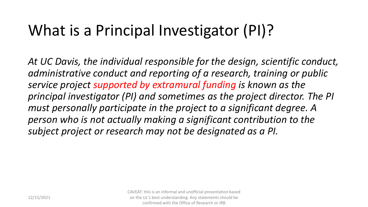### What is a Principal Investigator (PI)?

*At UC Davis, the individual responsible for the design, scientific conduct, administrative conduct and reporting of a research, training or public service project supported by extramural funding is known as the principal investigator (PI) and sometimes as the project director. The PI must personally participate in the project to a significant degree. A person who is not actually making a significant contribution to the subject project or research may not be designated as a PI.*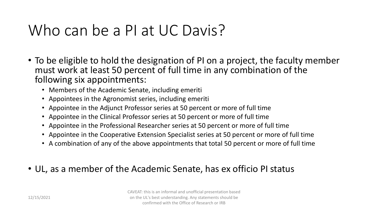#### Who can be a PI at UC Davis?

- To be eligible to hold the designation of PI on a project, the faculty member must work at least 50 percent of full time in any combination of the following six appointments:
	- Members of the Academic Senate, including emeriti
	- Appointees in the Agronomist series, including emeriti
	- Appointee in the Adjunct Professor series at 50 percent or more of full time
	- Appointee in the Clinical Professor series at 50 percent or more of full time
	- Appointee in the Professional Researcher series at 50 percent or more of full time
	- Appointee in the Cooperative Extension Specialist series at 50 percent or more of full time
	- A combination of any of the above appointments that total 50 percent or more of full time
- UL, as a member of the Academic Senate, has ex officio PI status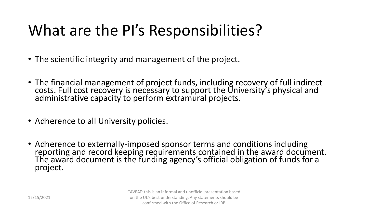## What are the PI's Responsibilities?

- The scientific integrity and management of the project.
- The financial management of project funds, including recovery of full indirect costs. Full cost recovery is necessary to support the University's physical and administrative capacity to perform extramural projects.
- Adherence to all University policies.
- Adherence to externally-imposed sponsor terms and conditions including reporting and record keeping requirements contained in the award document. The award document is the funding agency's official obligation of funds for a project.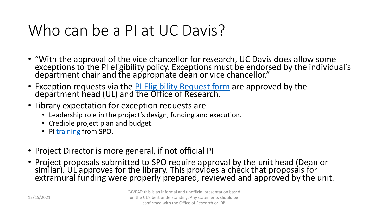#### Who can be a PI at UC Davis?

- "With the approval of the vice chancellor for research, UC Davis does allow some exceptions to the PI eligibility policy. Exceptions must be endorsed by the individual's department chair and the appropriate dean or vice chancellor."
- Exception requests via the [PI Eligibility Request form](https://research.ucdavis.edu/wp-content/uploads/Form-105_2018.pdf) are approved by the department head (UL) and the Office of Research.
- Library expectation for exception requests are
	- Leadership role in the project's design, funding and execution.
	- Credible project plan and budget.
	- PI [training](https://research.ucdavis.edu/proposals-grants-contracts/spo/spo-training/rao/) from SPO.
- Project Director is more general, if not official PI
- Project proposals submitted to SPO require approval by the unit head (Dean or similar). UL approves for the library. This provides a check that proposals for extramural funding were properly prepared, reviewed and approved by the unit.